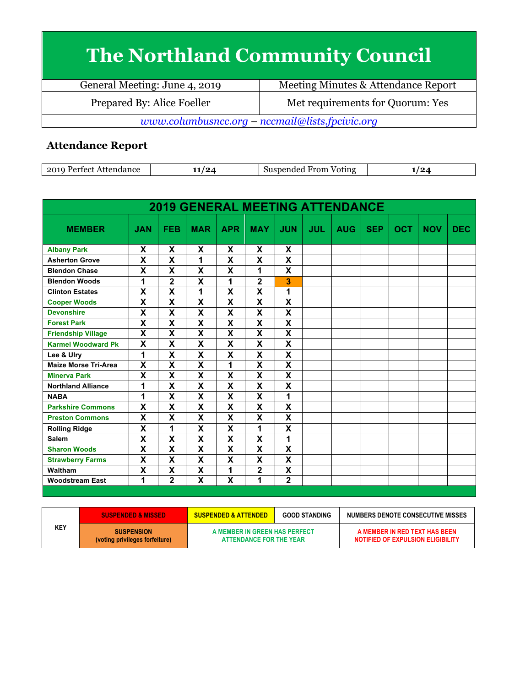## **The Northland Community Council**

| General Meeting: June 4, 2019                   | Meeting Minutes & Attendance Report |  |  |
|-------------------------------------------------|-------------------------------------|--|--|
| Prepared By: Alice Foeller                      | Met requirements for Quorum: Yes    |  |  |
| www.columbusncc.org – nccmail@lists.fpcivic.org |                                     |  |  |

## **Attendance Report**

| ാവറ<br>Attendance<br>Portoet<br>. . | $\mathbf{Q}$<br>--<br>--- | expended rel<br>From<br>Voting | הי<br>-- |
|-------------------------------------|---------------------------|--------------------------------|----------|
|-------------------------------------|---------------------------|--------------------------------|----------|

| <b>2019 GENERAL MEETING ATTENDANCE</b> |                           |                         |                         |                         |                           |                         |            |            |            |            |            |            |
|----------------------------------------|---------------------------|-------------------------|-------------------------|-------------------------|---------------------------|-------------------------|------------|------------|------------|------------|------------|------------|
| <b>MEMBER</b>                          | <b>JAN</b>                | <b>FEB</b>              | <b>MAR</b>              | <b>APR</b>              | <b>MAY</b>                | <b>JUN</b>              | <b>JUL</b> | <b>AUG</b> | <b>SEP</b> | <b>OCT</b> | <b>NOV</b> | <b>DEC</b> |
| <b>Albany Park</b>                     | X                         | X                       | X                       | X                       | X                         | X                       |            |            |            |            |            |            |
| <b>Asherton Grove</b>                  | $\overline{\mathbf{x}}$   | $\overline{\mathsf{x}}$ | 1                       | X                       | $\overline{\mathbf{x}}$   | $\overline{\mathsf{x}}$ |            |            |            |            |            |            |
| <b>Blendon Chase</b>                   | X                         | X                       | X                       | X                       | 1                         | X                       |            |            |            |            |            |            |
| <b>Blendon Woods</b>                   | 1                         | 2                       | X                       | 1                       | $\overline{2}$            | 3                       |            |            |            |            |            |            |
| <b>Clinton Estates</b>                 | X                         | $\overline{\mathsf{x}}$ | 1                       | $\overline{\mathsf{x}}$ | $\overline{\mathbf{x}}$   | 1                       |            |            |            |            |            |            |
| <b>Cooper Woods</b>                    | X                         | X                       | X                       | X                       | X                         | X                       |            |            |            |            |            |            |
| <b>Devonshire</b>                      | X                         | $\overline{\mathsf{x}}$ | X                       | X                       | X                         | X                       |            |            |            |            |            |            |
| <b>Forest Park</b>                     | $\overline{\mathbf{x}}$   | $\overline{\mathsf{x}}$ | $\overline{\mathsf{x}}$ | $\overline{\mathsf{x}}$ | $\overline{\mathbf{x}}$   | $\overline{\mathsf{x}}$ |            |            |            |            |            |            |
| <b>Friendship Village</b>              | X                         | X                       | X                       | X                       | X                         | $\overline{\mathbf{x}}$ |            |            |            |            |            |            |
| <b>Karmel Woodward Pk</b>              | $\overline{\mathbf{x}}$   | $\overline{\mathsf{x}}$ | $\overline{\mathbf{x}}$ | $\overline{\mathsf{x}}$ | $\overline{\mathbf{x}}$   | $\overline{\textsf{x}}$ |            |            |            |            |            |            |
| Lee & Ulry                             | $\overline{1}$            | $\overline{\mathsf{x}}$ | $\overline{\mathsf{x}}$ | $\overline{\mathsf{x}}$ | $\overline{\mathbf{x}}$   | $\overline{\mathsf{x}}$ |            |            |            |            |            |            |
| <b>Maize Morse Tri-Area</b>            | X                         | X                       | X                       | 1                       | X                         | $\overline{\mathsf{x}}$ |            |            |            |            |            |            |
| <b>Minerva Park</b>                    | $\overline{\mathbf{x}}$   | $\overline{\mathsf{x}}$ | $\overline{\mathbf{x}}$ | $\overline{\mathsf{x}}$ | $\overline{\mathbf{x}}$   | $\overline{\textsf{x}}$ |            |            |            |            |            |            |
| <b>Northland Alliance</b>              | 1                         | X                       | X                       | X                       | $\boldsymbol{\mathsf{X}}$ | X                       |            |            |            |            |            |            |
| <b>NABA</b>                            | 1                         | X                       | X                       | X                       | X                         | 1                       |            |            |            |            |            |            |
| <b>Parkshire Commons</b>               | X                         | X                       | $\overline{\mathsf{x}}$ | X                       | $\overline{\mathbf{x}}$   | $\overline{\mathsf{x}}$ |            |            |            |            |            |            |
| <b>Preston Commons</b>                 | X                         | X                       | X                       | X                       | X                         | X                       |            |            |            |            |            |            |
| <b>Rolling Ridge</b>                   | X                         | 1                       | X                       | X                       | 1                         | X                       |            |            |            |            |            |            |
| <b>Salem</b>                           | $\mathsf{x}$              | $\overline{\mathsf{x}}$ | $\overline{\textbf{x}}$ | X                       | $\mathbf x$               | 1                       |            |            |            |            |            |            |
| <b>Sharon Woods</b>                    | $\boldsymbol{\mathsf{X}}$ | X                       | X                       | X                       | $\boldsymbol{\mathsf{X}}$ | X                       |            |            |            |            |            |            |
| <b>Strawberry Farms</b>                | X                         | X                       | X                       | X                       | X                         | X                       |            |            |            |            |            |            |
| Waltham                                | X                         | X                       | X                       | 1                       | $\mathbf 2$               | X                       |            |            |            |            |            |            |
| <b>Woodstream East</b>                 | 1                         | $\overline{2}$          | $\overline{\mathsf{x}}$ | $\overline{\mathsf{x}}$ | 1                         | $\overline{2}$          |            |            |            |            |            |            |

|            | <b>SUSPENDED &amp; MISSED</b>                       | <b>SUSPENDED &amp; ATTENDED</b>                          | <b>GOOD STANDING</b> | NUMBERS DENOTE CONSECUTIVE MISSES                                  |
|------------|-----------------------------------------------------|----------------------------------------------------------|----------------------|--------------------------------------------------------------------|
| <b>KEY</b> | <b>SUSPENSION</b><br>(voting privileges forfeiture) | A MEMBER IN GREEN HAS PERFECT<br>ATTENDANCE FOR THE YEAR |                      | A MEMBER IN RED TEXT HAS BEEN<br>NOTIFIED OF EXPULSION ELIGIBILITY |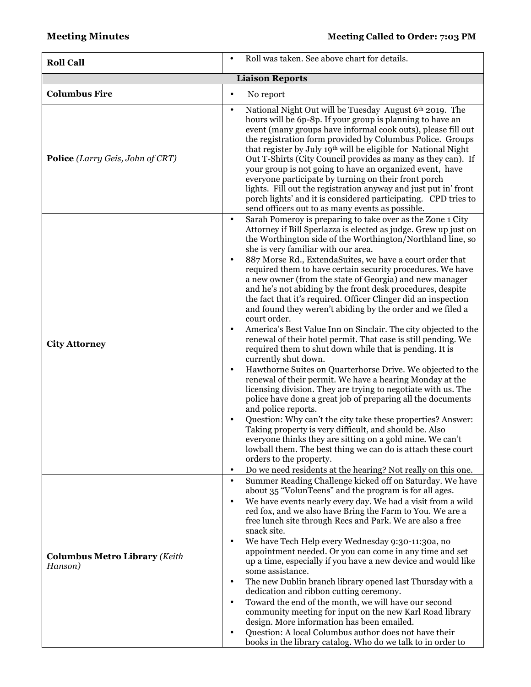| <b>Roll Call</b>                                | Roll was taken. See above chart for details.<br>$\bullet$                                                                                                                                                                                                                                                                                                                                                                                                                                                                                                                                                                                                                                                                                                                                                                                                                                                                                                                                                                                                                                                                                                                                                                                                                                                                                                                                                                                                                                                                                                      |
|-------------------------------------------------|----------------------------------------------------------------------------------------------------------------------------------------------------------------------------------------------------------------------------------------------------------------------------------------------------------------------------------------------------------------------------------------------------------------------------------------------------------------------------------------------------------------------------------------------------------------------------------------------------------------------------------------------------------------------------------------------------------------------------------------------------------------------------------------------------------------------------------------------------------------------------------------------------------------------------------------------------------------------------------------------------------------------------------------------------------------------------------------------------------------------------------------------------------------------------------------------------------------------------------------------------------------------------------------------------------------------------------------------------------------------------------------------------------------------------------------------------------------------------------------------------------------------------------------------------------------|
|                                                 | <b>Liaison Reports</b>                                                                                                                                                                                                                                                                                                                                                                                                                                                                                                                                                                                                                                                                                                                                                                                                                                                                                                                                                                                                                                                                                                                                                                                                                                                                                                                                                                                                                                                                                                                                         |
| <b>Columbus Fire</b>                            | No report<br>$\bullet$                                                                                                                                                                                                                                                                                                                                                                                                                                                                                                                                                                                                                                                                                                                                                                                                                                                                                                                                                                                                                                                                                                                                                                                                                                                                                                                                                                                                                                                                                                                                         |
| <b>Police</b> (Larry Geis, John of CRT)         | National Night Out will be Tuesday August 6th 2019. The<br>$\bullet$<br>hours will be 6p-8p. If your group is planning to have an<br>event (many groups have informal cook outs), please fill out<br>the registration form provided by Columbus Police. Groups<br>that register by July 19th will be eligible for National Night<br>Out T-Shirts (City Council provides as many as they can). If<br>your group is not going to have an organized event, have<br>everyone participate by turning on their front porch<br>lights. Fill out the registration anyway and just put in' front<br>porch lights' and it is considered participating. CPD tries to<br>send officers out to as many events as possible.                                                                                                                                                                                                                                                                                                                                                                                                                                                                                                                                                                                                                                                                                                                                                                                                                                                  |
| <b>City Attorney</b>                            | Sarah Pomeroy is preparing to take over as the Zone 1 City<br>$\bullet$<br>Attorney if Bill Sperlazza is elected as judge. Grew up just on<br>the Worthington side of the Worthington/Northland line, so<br>she is very familiar with our area.<br>887 Morse Rd., ExtendaSuites, we have a court order that<br>$\bullet$<br>required them to have certain security procedures. We have<br>a new owner (from the state of Georgia) and new manager<br>and he's not abiding by the front desk procedures, despite<br>the fact that it's required. Officer Clinger did an inspection<br>and found they weren't abiding by the order and we filed a<br>court order.<br>America's Best Value Inn on Sinclair. The city objected to the<br>$\bullet$<br>renewal of their hotel permit. That case is still pending. We<br>required them to shut down while that is pending. It is<br>currently shut down.<br>Hawthorne Suites on Quarterhorse Drive. We objected to the<br>$\bullet$<br>renewal of their permit. We have a hearing Monday at the<br>licensing division. They are trying to negotiate with us. The<br>police have done a great job of preparing all the documents<br>and police reports.<br>Question: Why can't the city take these properties? Answer:<br>Taking property is very difficult, and should be. Also<br>everyone thinks they are sitting on a gold mine. We can't<br>lowball them. The best thing we can do is attach these court<br>orders to the property.<br>Do we need residents at the hearing? Not really on this one.<br>$\bullet$ |
| <b>Columbus Metro Library (Keith</b><br>Hanson) | Summer Reading Challenge kicked off on Saturday. We have<br>$\bullet$<br>about 35 "VolunTeens" and the program is for all ages.<br>We have events nearly every day. We had a visit from a wild<br>$\bullet$<br>red fox, and we also have Bring the Farm to You. We are a<br>free lunch site through Recs and Park. We are also a free                                                                                                                                                                                                                                                                                                                                                                                                                                                                                                                                                                                                                                                                                                                                                                                                                                                                                                                                                                                                                                                                                                                                                                                                                          |
|                                                 | snack site.<br>We have Tech Help every Wednesday 9:30-11:30a, no<br>$\bullet$<br>appointment needed. Or you can come in any time and set<br>up a time, especially if you have a new device and would like<br>some assistance.                                                                                                                                                                                                                                                                                                                                                                                                                                                                                                                                                                                                                                                                                                                                                                                                                                                                                                                                                                                                                                                                                                                                                                                                                                                                                                                                  |
|                                                 | The new Dublin branch library opened last Thursday with a<br>$\bullet$<br>dedication and ribbon cutting ceremony.<br>Toward the end of the month, we will have our second<br>$\bullet$<br>community meeting for input on the new Karl Road library<br>design. More information has been emailed.<br>Question: A local Columbus author does not have their<br>٠<br>books in the library catalog. Who do we talk to in order to                                                                                                                                                                                                                                                                                                                                                                                                                                                                                                                                                                                                                                                                                                                                                                                                                                                                                                                                                                                                                                                                                                                                  |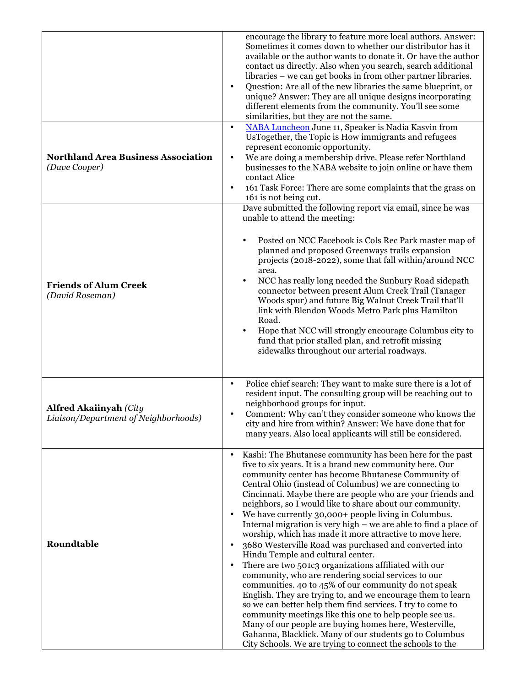|                                                                       | encourage the library to feature more local authors. Answer:<br>Sometimes it comes down to whether our distributor has it<br>available or the author wants to donate it. Or have the author<br>contact us directly. Also when you search, search additional<br>libraries – we can get books in from other partner libraries.<br>Question: Are all of the new libraries the same blueprint, or<br>$\bullet$<br>unique? Answer: They are all unique designs incorporating<br>different elements from the community. You'll see some<br>similarities, but they are not the same.                                                                                                                                                                                                                                                                                                                                                                                                                                                                                                                                                                                                                                           |
|-----------------------------------------------------------------------|-------------------------------------------------------------------------------------------------------------------------------------------------------------------------------------------------------------------------------------------------------------------------------------------------------------------------------------------------------------------------------------------------------------------------------------------------------------------------------------------------------------------------------------------------------------------------------------------------------------------------------------------------------------------------------------------------------------------------------------------------------------------------------------------------------------------------------------------------------------------------------------------------------------------------------------------------------------------------------------------------------------------------------------------------------------------------------------------------------------------------------------------------------------------------------------------------------------------------|
| <b>Northland Area Business Association</b><br>(Dave Cooper)           | NABA Luncheon June 11, Speaker is Nadia Kasvin from<br>$\bullet$<br>UsTogether, the Topic is How immigrants and refugees<br>represent economic opportunity.<br>We are doing a membership drive. Please refer Northland<br>$\bullet$<br>businesses to the NABA website to join online or have them<br>contact Alice<br>161 Task Force: There are some complaints that the grass on<br>$\bullet$<br>161 is not being cut.                                                                                                                                                                                                                                                                                                                                                                                                                                                                                                                                                                                                                                                                                                                                                                                                 |
| <b>Friends of Alum Creek</b><br>(David Roseman)                       | Dave submitted the following report via email, since he was<br>unable to attend the meeting:<br>Posted on NCC Facebook is Cols Rec Park master map of<br>٠<br>planned and proposed Greenways trails expansion<br>projects (2018-2022), some that fall within/around NCC<br>area.<br>NCC has really long needed the Sunbury Road sidepath<br>٠<br>connector between present Alum Creek Trail (Tanager<br>Woods spur) and future Big Walnut Creek Trail that'll<br>link with Blendon Woods Metro Park plus Hamilton<br>Road.<br>Hope that NCC will strongly encourage Columbus city to<br>$\bullet$<br>fund that prior stalled plan, and retrofit missing<br>sidewalks throughout our arterial roadways.                                                                                                                                                                                                                                                                                                                                                                                                                                                                                                                  |
| <b>Alfred Akaiinyah (City</b><br>Liaison/Department of Neighborhoods) | Police chief search: They want to make sure there is a lot of<br>$\bullet$<br>resident input. The consulting group will be reaching out to<br>neighborhood groups for input.<br>Comment: Why can't they consider someone who knows the<br>$\bullet$<br>city and hire from within? Answer: We have done that for<br>many years. Also local applicants will still be considered.                                                                                                                                                                                                                                                                                                                                                                                                                                                                                                                                                                                                                                                                                                                                                                                                                                          |
| Roundtable                                                            | Kashi: The Bhutanese community has been here for the past<br>five to six years. It is a brand new community here. Our<br>community center has become Bhutanese Community of<br>Central Ohio (instead of Columbus) we are connecting to<br>Cincinnati. Maybe there are people who are your friends and<br>neighbors, so I would like to share about our community.<br>We have currently 30,000+ people living in Columbus.<br>Internal migration is very high – we are able to find a place of<br>worship, which has made it more attractive to move here.<br>3680 Westerville Road was purchased and converted into<br>Hindu Temple and cultural center.<br>There are two 501c3 organizations affiliated with our<br>$\bullet$<br>community, who are rendering social services to our<br>communities. 40 to 45% of our community do not speak<br>English. They are trying to, and we encourage them to learn<br>so we can better help them find services. I try to come to<br>community meetings like this one to help people see us.<br>Many of our people are buying homes here, Westerville,<br>Gahanna, Blacklick. Many of our students go to Columbus<br>City Schools. We are trying to connect the schools to the |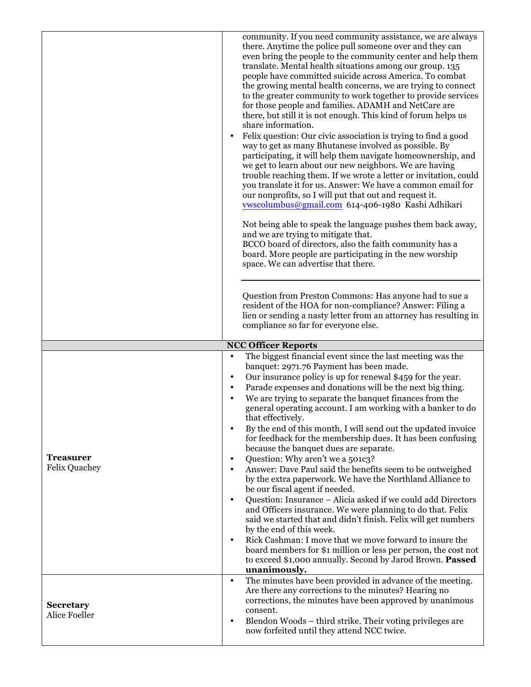|                                          | community. If you need community assistance, we are always<br>there. Anytime the police pull someone over and they can<br>even bring the people to the community center and help them<br>translate. Mental health situations among our group. 135<br>people have committed suicide across America. To combat<br>the growing mental health concerns, we are trying to connect<br>to the greater community to work together to provide services<br>for those people and families. ADAMH and NetCare are<br>there, but still it is not enough. This kind of forum helps us<br>share information.<br>Felix question: Our civic association is trying to find a good<br>way to get as many Bhutanese involved as possible. By<br>participating, it will help them navigate homeownership, and<br>we get to learn about our new neighbors. We are having<br>trouble reaching them. If we wrote a letter or invitation, could<br>you translate it for us. Answer: We have a common email for<br>our nonprofits, so I will put that out and request it.<br>vwscolumbus@gmail.com 614-406-1980 Kashi Adhikari<br>Not being able to speak the language pushes them back away,<br>and we are trying to mitigate that.<br>BCCO board of directors, also the faith community has a<br>board. More people are participating in the new worship<br>space. We can advertise that there. |
|------------------------------------------|-------------------------------------------------------------------------------------------------------------------------------------------------------------------------------------------------------------------------------------------------------------------------------------------------------------------------------------------------------------------------------------------------------------------------------------------------------------------------------------------------------------------------------------------------------------------------------------------------------------------------------------------------------------------------------------------------------------------------------------------------------------------------------------------------------------------------------------------------------------------------------------------------------------------------------------------------------------------------------------------------------------------------------------------------------------------------------------------------------------------------------------------------------------------------------------------------------------------------------------------------------------------------------------------------------------------------------------------------------------------------|
|                                          | Question from Preston Commons: Has anyone had to sue a<br>resident of the HOA for non-compliance? Answer: Filing a<br>lien or sending a nasty letter from an attorney has resulting in<br>compliance so far for everyone else.                                                                                                                                                                                                                                                                                                                                                                                                                                                                                                                                                                                                                                                                                                                                                                                                                                                                                                                                                                                                                                                                                                                                          |
|                                          | <b>NCC Officer Reports</b>                                                                                                                                                                                                                                                                                                                                                                                                                                                                                                                                                                                                                                                                                                                                                                                                                                                                                                                                                                                                                                                                                                                                                                                                                                                                                                                                              |
| <b>Treasurer</b><br><b>Felix Quachey</b> | The biggest financial event since the last meeting was the<br>$\bullet$<br>banquet: 2971.76 Payment has been made.<br>Our insurance policy is up for renewal \$459 for the year.<br>$\bullet$<br>Parade expenses and donations will be the next big thing.<br>$\bullet$<br>We are trying to separate the banquet finances from the<br>$\bullet$<br>general operating account. I am working with a banker to do<br>that effectively.<br>By the end of this month, I will send out the updated invoice<br>for feedback for the membership dues. It has been confusing<br>because the banquet dues are separate.<br>Question: Why aren't we a 501c3?<br>$\bullet$<br>Answer: Dave Paul said the benefits seem to be outweighed<br>$\bullet$<br>by the extra paperwork. We have the Northland Alliance to<br>be our fiscal agent if needed.<br>Question: Insurance - Alicia asked if we could add Directors<br>$\bullet$<br>and Officers insurance. We were planning to do that. Felix<br>said we started that and didn't finish. Felix will get numbers<br>by the end of this week.<br>Rick Cashman: I move that we move forward to insure the<br>$\bullet$<br>board members for \$1 million or less per person, the cost not<br>to exceed \$1,000 annually. Second by Jarod Brown. Passed<br>unanimously.                                                                 |
| <b>Secretary</b><br>Alice Foeller        | The minutes have been provided in advance of the meeting.<br>$\bullet$<br>Are there any corrections to the minutes? Hearing no<br>corrections, the minutes have been approved by unanimous<br>consent.<br>Blendon Woods – third strike. Their voting privileges are<br>٠                                                                                                                                                                                                                                                                                                                                                                                                                                                                                                                                                                                                                                                                                                                                                                                                                                                                                                                                                                                                                                                                                                |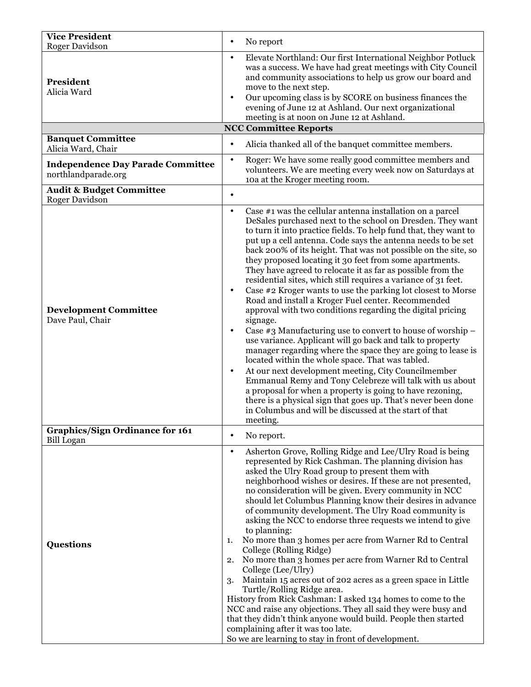| <b>Vice President</b><br><b>Roger Davidson</b>                  | No report<br>$\bullet$                                                                                                                                                                                                                                                                                                                                                                                                                                                                                                                                                                                                                                                                                                                                                                                                                                                                                                                                                                                                                                                                                                                                                                                                                                                                                                                                    |
|-----------------------------------------------------------------|-----------------------------------------------------------------------------------------------------------------------------------------------------------------------------------------------------------------------------------------------------------------------------------------------------------------------------------------------------------------------------------------------------------------------------------------------------------------------------------------------------------------------------------------------------------------------------------------------------------------------------------------------------------------------------------------------------------------------------------------------------------------------------------------------------------------------------------------------------------------------------------------------------------------------------------------------------------------------------------------------------------------------------------------------------------------------------------------------------------------------------------------------------------------------------------------------------------------------------------------------------------------------------------------------------------------------------------------------------------|
| President<br>Alicia Ward                                        | Elevate Northland: Our first International Neighbor Potluck<br>$\bullet$<br>was a success. We have had great meetings with City Council<br>and community associations to help us grow our board and<br>move to the next step.<br>Our upcoming class is by SCORE on business finances the<br>$\bullet$<br>evening of June 12 at Ashland. Our next organizational<br>meeting is at noon on June 12 at Ashland.                                                                                                                                                                                                                                                                                                                                                                                                                                                                                                                                                                                                                                                                                                                                                                                                                                                                                                                                              |
|                                                                 | <b>NCC Committee Reports</b>                                                                                                                                                                                                                                                                                                                                                                                                                                                                                                                                                                                                                                                                                                                                                                                                                                                                                                                                                                                                                                                                                                                                                                                                                                                                                                                              |
| <b>Banquet Committee</b><br>Alicia Ward, Chair                  | Alicia thanked all of the banquet committee members.<br>$\bullet$                                                                                                                                                                                                                                                                                                                                                                                                                                                                                                                                                                                                                                                                                                                                                                                                                                                                                                                                                                                                                                                                                                                                                                                                                                                                                         |
| <b>Independence Day Parade Committee</b><br>northlandparade.org | Roger: We have some really good committee members and<br>$\bullet$<br>volunteers. We are meeting every week now on Saturdays at<br>10a at the Kroger meeting room.                                                                                                                                                                                                                                                                                                                                                                                                                                                                                                                                                                                                                                                                                                                                                                                                                                                                                                                                                                                                                                                                                                                                                                                        |
| <b>Audit &amp; Budget Committee</b><br><b>Roger Davidson</b>    | $\bullet$                                                                                                                                                                                                                                                                                                                                                                                                                                                                                                                                                                                                                                                                                                                                                                                                                                                                                                                                                                                                                                                                                                                                                                                                                                                                                                                                                 |
| <b>Development Committee</b><br>Dave Paul, Chair                | Case #1 was the cellular antenna installation on a parcel<br>$\bullet$<br>DeSales purchased next to the school on Dresden. They want<br>to turn it into practice fields. To help fund that, they want to<br>put up a cell antenna. Code says the antenna needs to be set<br>back 200% of its height. That was not possible on the site, so<br>they proposed locating it 30 feet from some apartments.<br>They have agreed to relocate it as far as possible from the<br>residential sites, which still requires a variance of 31 feet.<br>Case #2 Kroger wants to use the parking lot closest to Morse<br>$\bullet$<br>Road and install a Kroger Fuel center. Recommended<br>approval with two conditions regarding the digital pricing<br>signage.<br>Case $\#$ 3 Manufacturing use to convert to house of worship $-$<br>$\bullet$<br>use variance. Applicant will go back and talk to property<br>manager regarding where the space they are going to lease is<br>located within the whole space. That was tabled.<br>At our next development meeting, City Councilmember<br>$\bullet$<br>Emmanual Remy and Tony Celebreze will talk with us about<br>a proposal for when a property is going to have rezoning,<br>there is a physical sign that goes up. That's never been done<br>in Columbus and will be discussed at the start of that<br>meeting. |
| <b>Graphics/Sign Ordinance for 161</b>                          | No report.<br>$\bullet$                                                                                                                                                                                                                                                                                                                                                                                                                                                                                                                                                                                                                                                                                                                                                                                                                                                                                                                                                                                                                                                                                                                                                                                                                                                                                                                                   |
| <b>Bill Logan</b><br><b>Questions</b>                           | Asherton Grove, Rolling Ridge and Lee/Ulry Road is being<br>$\bullet$<br>represented by Rick Cashman. The planning division has<br>asked the Ulry Road group to present them with<br>neighborhood wishes or desires. If these are not presented,<br>no consideration will be given. Every community in NCC<br>should let Columbus Planning know their desires in advance<br>of community development. The Ulry Road community is<br>asking the NCC to endorse three requests we intend to give<br>to planning:<br>No more than 3 homes per acre from Warner Rd to Central<br>1.<br>College (Rolling Ridge)<br>No more than 3 homes per acre from Warner Rd to Central<br>2.<br>College (Lee/Ulry)<br>Maintain 15 acres out of 202 acres as a green space in Little<br>3.<br>Turtle/Rolling Ridge area.<br>History from Rick Cashman: I asked 134 homes to come to the<br>NCC and raise any objections. They all said they were busy and<br>that they didn't think anyone would build. People then started<br>complaining after it was too late.<br>So we are learning to stay in front of development.                                                                                                                                                                                                                                                    |